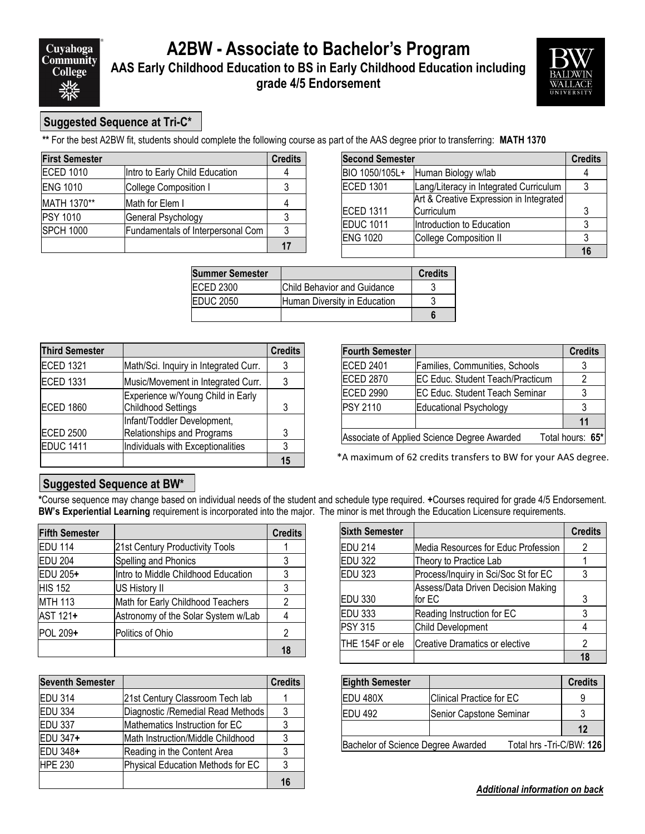## **A2BW - Associate to Bachelor's Program AAS Early Childhood Education to BS in Early Childhood Education including grade 4/5 Endorsement**



### **Suggested Sequence at Tri-C\***

**\*\*** For the best A2BW fit, students should complete the following course as part of the AAS degree prior to transferring: **MATH 1370**

| <b>First Semester</b> |                                   | <b>Credits</b> |
|-----------------------|-----------------------------------|----------------|
| <b>ECED 1010</b>      | Intro to Early Child Education    |                |
| <b>ENG 1010</b>       | College Composition I             |                |
| MATH 1370**           | Math for Elem I                   |                |
| <b>PSY 1010</b>       | General Psychology                |                |
| <b>SPCH 1000</b>      | Fundamentals of Interpersonal Com |                |
|                       |                                   | 17             |

| <b>Second Semester</b> |                                         | <b>Credits</b> |
|------------------------|-----------------------------------------|----------------|
| BIO 1050/105L+         | Human Biology w/lab                     |                |
| <b>ECED 1301</b>       | Lang/Literacy in Integrated Curriculum  |                |
|                        | Art & Creative Expression in Integrated |                |
| <b>ECED 1311</b>       | Curriculum                              | 3              |
| <b>EDUC 1011</b>       | Introduction to Education               |                |
| <b>ENG 1020</b>        | <b>College Composition II</b>           |                |
|                        |                                         | 16             |

| <b>Summer Semester</b> |                              | <b>Credits</b> |
|------------------------|------------------------------|----------------|
| <b>ECED 2300</b>       | Child Behavior and Guidance  |                |
| <b>EDUC 2050</b>       | Human Diversity in Education |                |
|                        |                              |                |

| <b>Third Semester</b> |                                                                | <b>Credits</b> |
|-----------------------|----------------------------------------------------------------|----------------|
| <b>ECED 1321</b>      | Math/Sci. Inquiry in Integrated Curr.                          | 3              |
| <b>ECED 1331</b>      | Music/Movement in Integrated Curr.                             |                |
| <b>ECED 1860</b>      | Experience w/Young Child in Early<br><b>Childhood Settings</b> | 3              |
| <b>ECED 2500</b>      | Infant/Toddler Development,<br>Relationships and Programs      | 3              |
| <b>EDUC 1411</b>      | Individuals with Exceptionalities                              | 3              |
|                       |                                                                | 15             |

| <b>Fourth Semester</b>                                          |                                         | <b>Credits</b> |
|-----------------------------------------------------------------|-----------------------------------------|----------------|
| <b>ECED 2401</b>                                                | Families, Communities, Schools          |                |
| <b>ECED 2870</b>                                                | <b>EC Educ. Student Teach/Practicum</b> |                |
| <b>ECED 2990</b>                                                | <b>EC Educ. Student Teach Seminar</b>   |                |
| <b>PSY 2110</b>                                                 | <b>Educational Psychology</b>           | 3              |
|                                                                 |                                         | 11             |
| Associate of Applied Science Degree Awarded<br>Total hours: 65* |                                         |                |

\*A maximum of 62 credits transfers to BW for your AAS degree.

#### **Suggested Sequence at BW\***

**\***Course sequence may change based on individual needs of the student and schedule type required. **+**Courses required for grade 4/5 Endorsement. **BW's Experiential Learning** requirement is incorporated into the major. The minor is met through the Education Licensure requirements.

| <b>Fifth Semester</b> |                                     | <b>Credits</b> |
|-----------------------|-------------------------------------|----------------|
| <b>EDU 114</b>        | 21st Century Productivity Tools     |                |
| <b>EDU 204</b>        | Spelling and Phonics                | 3              |
| EDU 205+              | Intro to Middle Childhood Education | 3              |
| <b>HIS 152</b>        | US History II                       | 3              |
| <b>MTH 113</b>        | Math for Early Childhood Teachers   | 2              |
| AST 121+              | Astronomy of the Solar System w/Lab |                |
| <b>POL 209+</b>       | Politics of Ohio                    | 2              |
|                       |                                     | 18             |

| <b>Seventh Semester</b> |                                    | <b>Credits</b> |
|-------------------------|------------------------------------|----------------|
| <b>EDU 314</b>          | 21st Century Classroom Tech lab    |                |
| <b>EDU 334</b>          | Diagnostic / Remedial Read Methods | 3              |
| <b>EDU 337</b>          | Mathematics Instruction for EC     |                |
| EDU 347+                | lMath Instruction/Middle Childhood | 3              |
| EDU 348+                | Reading in the Content Area        | 3              |
| <b>HPE 230</b>          | Physical Education Methods for EC  | 3              |
|                         |                                    |                |

| <b>Sixth Semester</b> |                                      | <b>Credits</b> |
|-----------------------|--------------------------------------|----------------|
| <b>EDU 214</b>        | Media Resources for Educ Profession  | 2              |
| <b>EDU 322</b>        | Theory to Practice Lab               |                |
| <b>EDU 323</b>        | Process/Inquiry in Sci/Soc St for EC |                |
|                       | Assess/Data Driven Decision Making   |                |
| <b>EDU 330</b>        | for EC                               | 3              |
| <b>EDU 333</b>        | Reading Instruction for EC           |                |
| <b>PSY 315</b>        | <b>Child Development</b>             |                |
| THE 154F or ele       | lCreative Dramatics or elective      |                |
|                       |                                      |                |

| <b>Eighth Semester</b>                                         |                          | <b>Credits</b> |
|----------------------------------------------------------------|--------------------------|----------------|
| EDU 480X                                                       | Clinical Practice for EC | 9              |
| EDU 492                                                        | Senior Capstone Seminar  |                |
|                                                                |                          | 12             |
| Bachelor of Science Degree Awarded<br>Total hrs -Tri-C/BW: 126 |                          |                |